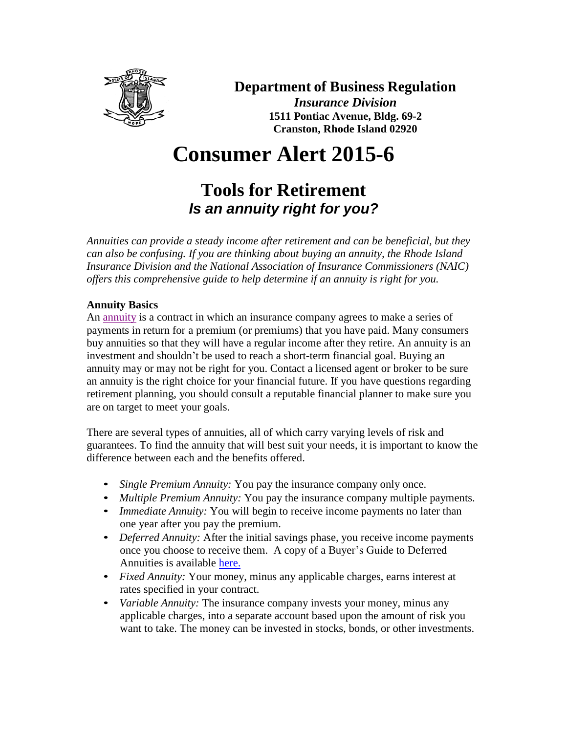

### **Department of Business Regulation**

*Insurance Division* **1511 Pontiac Avenue, Bldg. 69-2 Cranston, Rhode Island 02920**

# **Consumer Alert 2015-6**

## **Tools for Retirement** *Is an annuity right for you?*

*Annuities can provide a steady income after retirement and can be beneficial, but they can also be confusing. If you are thinking about buying an annuity, the Rhode Island Insurance Division and the National Association of Insurance Commissioners (NAIC) offers this comprehensive guide to help determine if an annuity is right for you.*

#### **Annuity Basics**

An [annuity](http://www.naic.org/cipr_topics/topic_annuities.htm) is a contract in which an insurance company agrees to make a series of payments in return for a premium (or premiums) that you have paid. Many consumers buy annuities so that they will have a regular income after they retire. An annuity is an investment and shouldn't be used to reach a short-term financial goal. Buying an annuity may or may not be right for you. Contact a licensed agent or broker to be sure an annuity is the right choice for your financial future. If you have questions regarding retirement planning, you should consult a reputable financial planner to make sure you are on target to meet your goals.

There are several types of annuities, all of which carry varying levels of risk and guarantees. To find the annuity that will best suit your needs, it is important to know the difference between each and the benefits offered.

- *Single Premium Annuity:* You pay the insurance company only once.
- *Multiple Premium Annuity:* You pay the insurance company multiple payments.
- *Immediate Annuity:* You will begin to receive income payments no later than one year after you pay the premium.
- *Deferred Annuity:* After the initial savings phase, you receive income payments once you choose to receive them. A copy of a Buyer's Guide to Deferred Annuities is available [here.](http://www.dbr.ri.gov/documents/divisions/insurance/consumers/Deferred_Annuities_Buyers_Guide.pdf)
- *Fixed Annuity:* Your money, minus any applicable charges, earns interest at rates specified in your contract.
- *Variable Annuity:* The insurance company invests your money, minus any applicable charges, into a separate account based upon the amount of risk you want to take. The money can be invested in stocks, bonds, or other investments.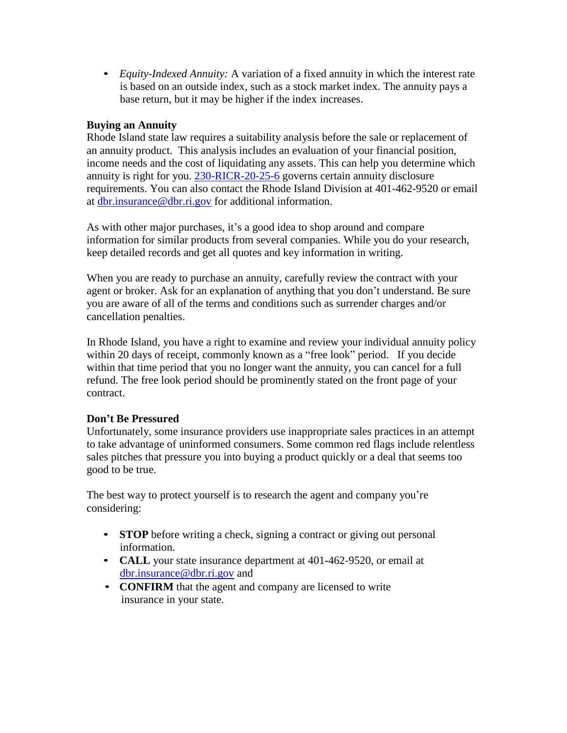• *Equity-Indexed Annuity:* A variation of a fixed annuity in which the interest rate is based on an outside index, such as a stock market index. The annuity pays a base return, but it may be higher if the index increases.

#### **Buying an Annuity**

Rhode Island state law requires a suitability analysis before the sale or replacement of an annuity product. This analysis includes an evaluation of your financial position, income needs and the cost of liquidating any assets. This can help you determine which annuity is right for you. [230-RICR-20-25-6](https://rules.sos.ri.gov/regulations/part/230-20-25-6) governs certain annuity disclosure requirements. You can also contact the Rhode Island Division at 401-462-9520 or email at [dbr.insurance@dbr.ri.gov](mailto:dbr.insurance@dbr.ri.gov) for additional information.

As with other major purchases, it's a good idea to shop around and compare information for similar products from several companies. While you do your research, keep detailed records and get all quotes and key information in writing.

When you are ready to purchase an annuity, carefully review the contract with your agent or broker. Ask for an explanation of anything that you don't understand. Be sure you are aware of all of the terms and conditions such as surrender charges and/or cancellation penalties.

In Rhode Island, you have a right to examine and review your individual annuity policy within 20 days of receipt, commonly known as a "free look" period. If you decide within that time period that you no longer want the annuity, you can cancel for a full refund. The free look period should be prominently stated on the front page of your contract.

#### **Don't Be Pressured**

Unfortunately, some insurance providers use inappropriate sales practices in an attempt to take advantage of uninformed consumers. Some common red flags include relentless sales pitches that pressure you into buying a product quickly or a deal that seems too good to be true.

The best way to protect yourself is to research the agent and company you're considering:

- **STOP** before writing a check, signing a contract or giving out personal information.
- **CALL** your state insurance department at 401-462-9520, or email at [dbr.insurance@dbr.ri.gov](mailto:dbr.insurance@dbr.ri.gov) and
- **CONFIRM** that the agent and company are licensed to write insurance in your state.